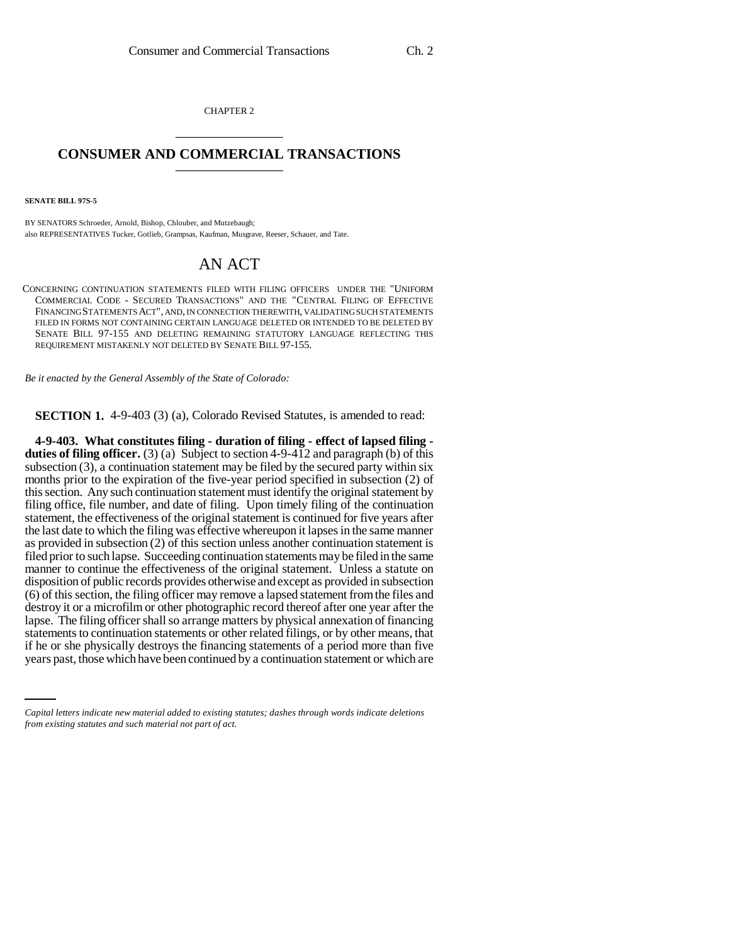CHAPTER 2 \_\_\_\_\_\_\_\_\_\_\_\_\_\_\_

## **CONSUMER AND COMMERCIAL TRANSACTIONS** \_\_\_\_\_\_\_\_\_\_\_\_\_\_\_

**SENATE BILL 97S-5**

BY SENATORS Schroeder, Arnold, Bishop, Chlouber, and Mutzebaugh; also REPRESENTATIVES Tucker, Gotlieb, Grampsas, Kaufman, Musgrave, Reeser, Schauer, and Tate.

## AN ACT

CONCERNING CONTINUATION STATEMENTS FILED WITH FILING OFFICERS UNDER THE "UNIFORM COMMERCIAL CODE - SECURED TRANSACTIONS" AND THE "CENTRAL FILING OF EFFECTIVE FINANCING STATEMENTS ACT", AND, IN CONNECTION THEREWITH, VALIDATING SUCH STATEMENTS FILED IN FORMS NOT CONTAINING CERTAIN LANGUAGE DELETED OR INTENDED TO BE DELETED BY SENATE BILL 97-155 AND DELETING REMAINING STATUTORY LANGUAGE REFLECTING THIS REQUIREMENT MISTAKENLY NOT DELETED BY SENATE BILL 97-155.

*Be it enacted by the General Assembly of the State of Colorado:*

**SECTION 1.** 4-9-403 (3) (a), Colorado Revised Statutes, is amended to read:

statements to continuation statements or other related filings, or by other means, that if he are also physically decrease the financing at the means of a partied mane than five **4-9-403. What constitutes filing - duration of filing - effect of lapsed filing duties of filing officer.** (3) (a) Subject to section 4-9-412 and paragraph (b) of this subsection  $(3)$ , a continuation statement may be filed by the secured party within six months prior to the expiration of the five-year period specified in subsection (2) of this section. Any such continuation statement must identify the original statement by filing office, file number, and date of filing. Upon timely filing of the continuation statement, the effectiveness of the original statement is continued for five years after the last date to which the filing was effective whereupon it lapses in the same manner as provided in subsection (2) of this section unless another continuation statement is filed prior to such lapse. Succeeding continuation statements may be filed in the same manner to continue the effectiveness of the original statement. Unless a statute on disposition of public records provides otherwise and except as provided in subsection (6) of this section, the filing officer may remove a lapsed statement from the files and destroy it or a microfilm or other photographic record thereof after one year after the lapse. The filing officer shall so arrange matters by physical annexation of financing if he or she physically destroys the financing statements of a period more than five years past, those which have been continued by a continuation statement or which are

*Capital letters indicate new material added to existing statutes; dashes through words indicate deletions from existing statutes and such material not part of act.*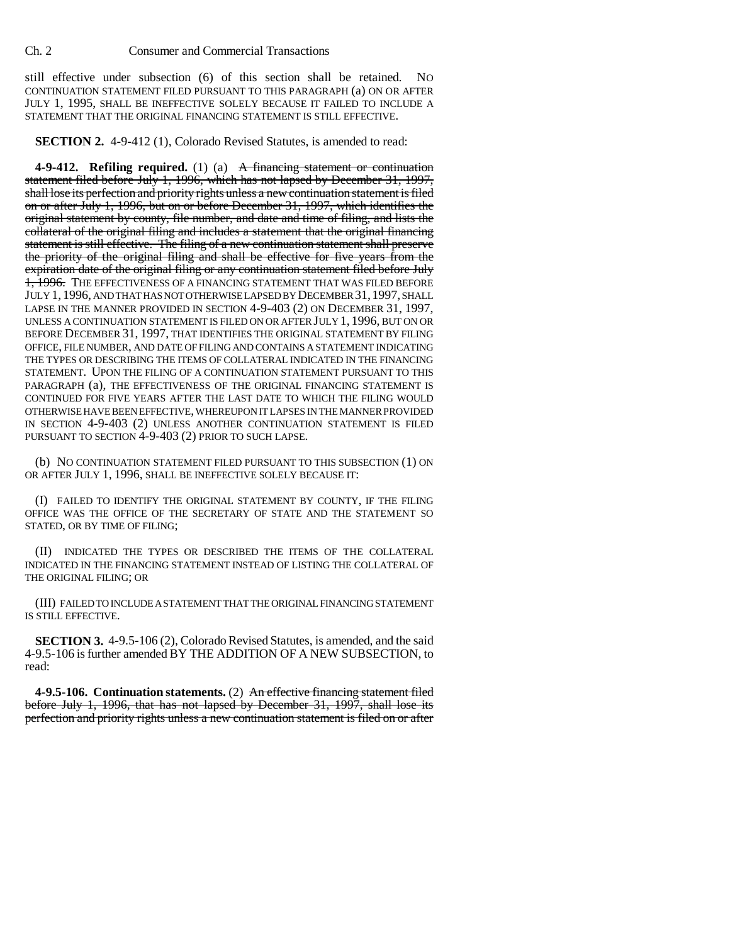still effective under subsection (6) of this section shall be retained. NO CONTINUATION STATEMENT FILED PURSUANT TO THIS PARAGRAPH (a) ON OR AFTER JULY 1, 1995, SHALL BE INEFFECTIVE SOLELY BECAUSE IT FAILED TO INCLUDE A STATEMENT THAT THE ORIGINAL FINANCING STATEMENT IS STILL EFFECTIVE.

**SECTION 2.** 4-9-412 (1), Colorado Revised Statutes, is amended to read:

**4-9-412. Refiling required.** (1) (a) A financing statement or continuation statement filed before July 1, 1996, which has not lapsed by December 31, 1997, shall lose its perfection and priority rights unless a new continuation statement is filed on or after July 1, 1996, but on or before December 31, 1997, which identifies the original statement by county, file number, and date and time of filing, and lists the collateral of the original filing and includes a statement that the original financing statement is still effective. The filing of a new continuation statement shall preserve the priority of the original filing and shall be effective for five years from the expiration date of the original filing or any continuation statement filed before July 1, 1996. THE EFFECTIVENESS OF A FINANCING STATEMENT THAT WAS FILED BEFORE JULY 1, 1996, AND THAT HAS NOT OTHERWISE LAPSED BY DECEMBER 31,1997, SHALL LAPSE IN THE MANNER PROVIDED IN SECTION 4-9-403 (2) ON DECEMBER 31, 1997, UNLESS A CONTINUATION STATEMENT IS FILED ON OR AFTER JULY 1, 1996, BUT ON OR BEFORE DECEMBER 31, 1997, THAT IDENTIFIES THE ORIGINAL STATEMENT BY FILING OFFICE, FILE NUMBER, AND DATE OF FILING AND CONTAINS A STATEMENT INDICATING THE TYPES OR DESCRIBING THE ITEMS OF COLLATERAL INDICATED IN THE FINANCING STATEMENT. UPON THE FILING OF A CONTINUATION STATEMENT PURSUANT TO THIS PARAGRAPH (a), THE EFFECTIVENESS OF THE ORIGINAL FINANCING STATEMENT IS CONTINUED FOR FIVE YEARS AFTER THE LAST DATE TO WHICH THE FILING WOULD OTHERWISE HAVE BEEN EFFECTIVE, WHEREUPON IT LAPSES IN THE MANNER PROVIDED IN SECTION 4-9-403 (2) UNLESS ANOTHER CONTINUATION STATEMENT IS FILED PURSUANT TO SECTION 4-9-403 (2) PRIOR TO SUCH LAPSE.

(b) NO CONTINUATION STATEMENT FILED PURSUANT TO THIS SUBSECTION (1) ON OR AFTER JULY 1, 1996, SHALL BE INEFFECTIVE SOLELY BECAUSE IT:

(I) FAILED TO IDENTIFY THE ORIGINAL STATEMENT BY COUNTY, IF THE FILING OFFICE WAS THE OFFICE OF THE SECRETARY OF STATE AND THE STATEMENT SO STATED, OR BY TIME OF FILING;

(II) INDICATED THE TYPES OR DESCRIBED THE ITEMS OF THE COLLATERAL INDICATED IN THE FINANCING STATEMENT INSTEAD OF LISTING THE COLLATERAL OF THE ORIGINAL FILING; OR

(III) FAILED TO INCLUDE A STATEMENT THAT THE ORIGINAL FINANCING STATEMENT IS STILL EFFECTIVE.

**SECTION 3.** 4-9.5-106 (2), Colorado Revised Statutes, is amended, and the said 4-9.5-106 is further amended BY THE ADDITION OF A NEW SUBSECTION, to read:

**4-9.5-106. Continuation statements.** (2) An effective financing statement filed before July 1, 1996, that has not lapsed by December 31, 1997, shall lose its perfection and priority rights unless a new continuation statement is filed on or after